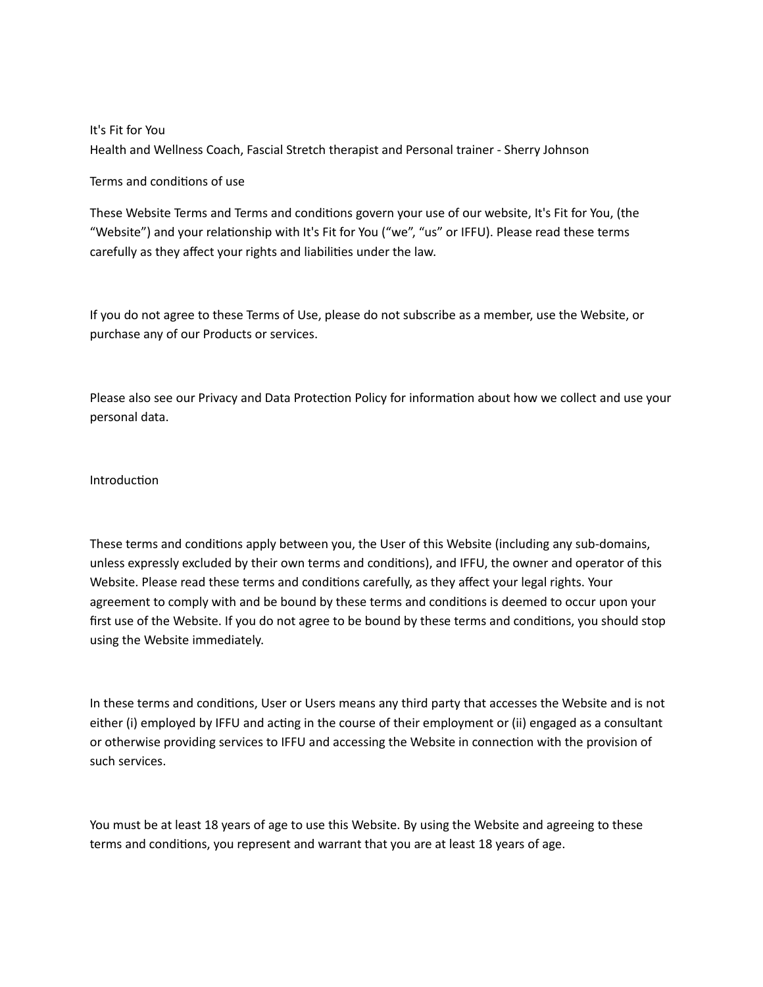It's Fit for You Health and Wellness Coach, Fascial Stretch therapist and Personal trainer - Sherry Johnson

Terms and conditions of use

These Website Terms and Terms and conditions govern your use of our website, It's Fit for You, (the "Website") and your relationship with It's Fit for You ("we", "us" or IFFU). Please read these terms carefully as they affect your rights and liabilities under the law.

If you do not agree to these Terms of Use, please do not subscribe as a member, use the Website, or purchase any of our Products or services.

Please also see our Privacy and Data Protection Policy for information about how we collect and use your personal data.

## Introduction

These terms and conditions apply between you, the User of this Website (including any sub-domains, unless expressly excluded by their own terms and conditions), and IFFU, the owner and operator of this Website. Please read these terms and conditions carefully, as they affect your legal rights. Your agreement to comply with and be bound by these terms and conditions is deemed to occur upon your first use of the Website. If you do not agree to be bound by these terms and conditions, you should stop using the Website immediately.

In these terms and conditions, User or Users means any third party that accesses the Website and is not either (i) employed by IFFU and acting in the course of their employment or (ii) engaged as a consultant or otherwise providing services to IFFU and accessing the Website in connection with the provision of such services.

You must be at least 18 years of age to use this Website. By using the Website and agreeing to these terms and conditions, you represent and warrant that you are at least 18 years of age.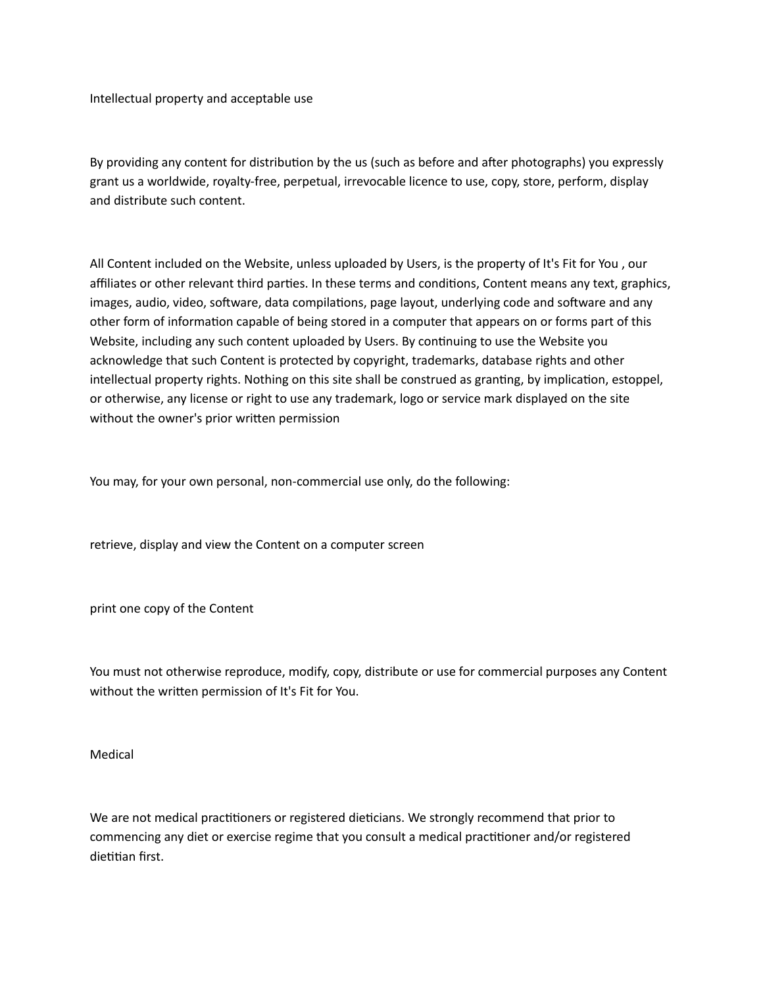Intellectual property and acceptable use

By providing any content for distribution by the us (such as before and after photographs) you expressly grant us a worldwide, royalty-free, perpetual, irrevocable licence to use, copy, store, perform, display and distribute such content.

All Content included on the Website, unless uploaded by Users, is the property of It's Fit for You , our affiliates or other relevant third parties. In these terms and conditions, Content means any text, graphics, images, audio, video, software, data compilations, page layout, underlying code and software and any other form of information capable of being stored in a computer that appears on or forms part of this Website, including any such content uploaded by Users. By continuing to use the Website you acknowledge that such Content is protected by copyright, trademarks, database rights and other intellectual property rights. Nothing on this site shall be construed as granting, by implication, estoppel, or otherwise, any license or right to use any trademark, logo or service mark displayed on the site without the owner's prior written permission

You may, for your own personal, non-commercial use only, do the following:

retrieve, display and view the Content on a computer screen

print one copy of the Content

You must not otherwise reproduce, modify, copy, distribute or use for commercial purposes any Content without the written permission of It's Fit for You.

Medical

We are not medical practitioners or registered dieticians. We strongly recommend that prior to commencing any diet or exercise regime that you consult a medical practitioner and/or registered dietitian first.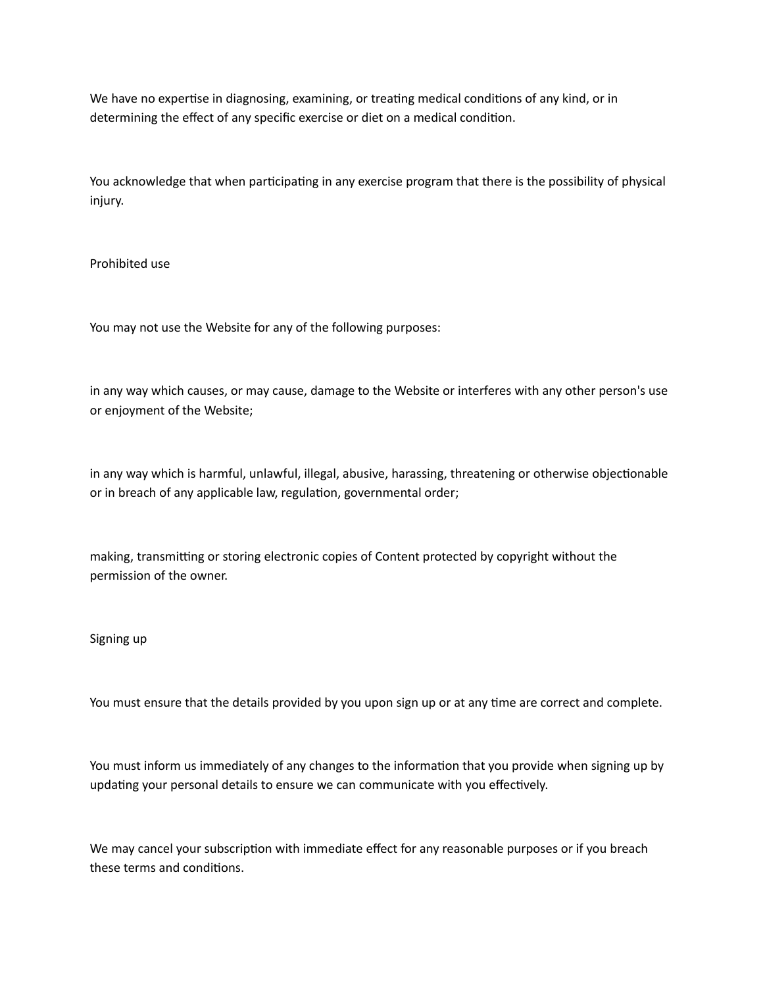We have no expertise in diagnosing, examining, or treating medical conditions of any kind, or in determining the effect of any specific exercise or diet on a medical condition.

You acknowledge that when participating in any exercise program that there is the possibility of physical injury.

Prohibited use

You may not use the Website for any of the following purposes:

in any way which causes, or may cause, damage to the Website or interferes with any other person's use or enjoyment of the Website;

in any way which is harmful, unlawful, illegal, abusive, harassing, threatening or otherwise objectionable or in breach of any applicable law, regulation, governmental order;

making, transmitting or storing electronic copies of Content protected by copyright without the permission of the owner.

## Signing up

You must ensure that the details provided by you upon sign up or at any time are correct and complete.

You must inform us immediately of any changes to the information that you provide when signing up by updating your personal details to ensure we can communicate with you effectively.

We may cancel your subscription with immediate effect for any reasonable purposes or if you breach these terms and conditions.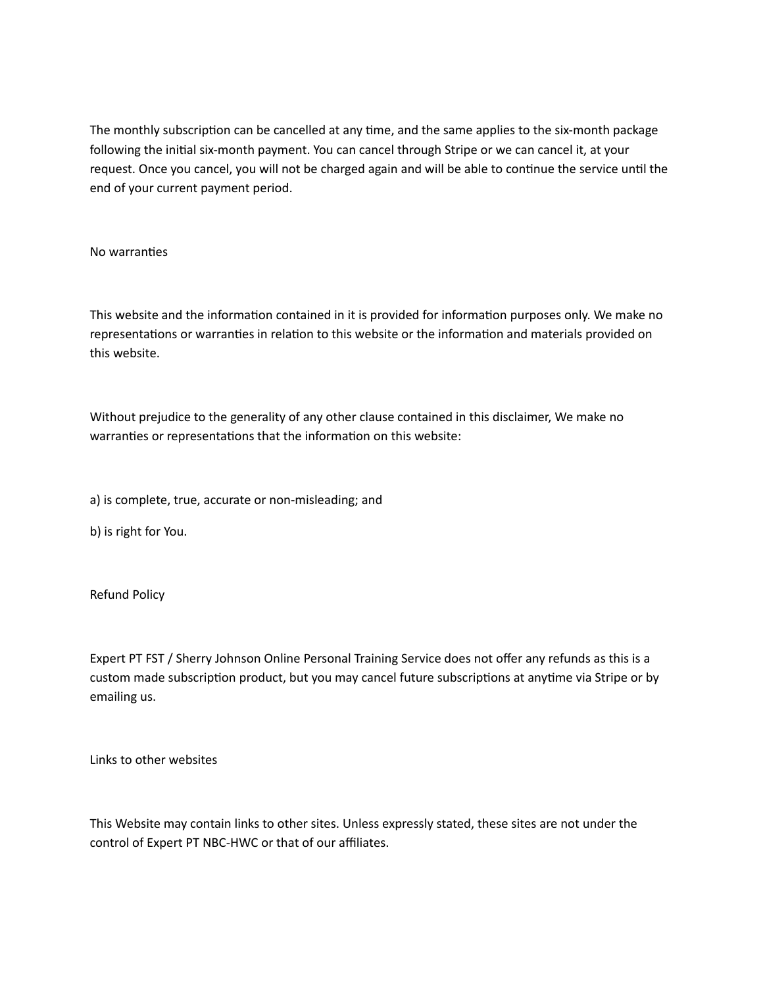The monthly subscription can be cancelled at any time, and the same applies to the six-month package following the initial six-month payment. You can cancel through Stripe or we can cancel it, at your request. Once you cancel, you will not be charged again and will be able to continue the service until the end of your current payment period.

## No warranties

This website and the information contained in it is provided for information purposes only. We make no representations or warranties in relation to this website or the information and materials provided on this website.

Without prejudice to the generality of any other clause contained in this disclaimer, We make no warranties or representations that the information on this website:

a) is complete, true, accurate or non-misleading; and

b) is right for You.

Refund Policy

Expert PT FST / Sherry Johnson Online Personal Training Service does not offer any refunds as this is a custom made subscription product, but you may cancel future subscriptions at anytime via Stripe or by emailing us.

Links to other websites

This Website may contain links to other sites. Unless expressly stated, these sites are not under the control of Expert PT NBC-HWC or that of our affiliates.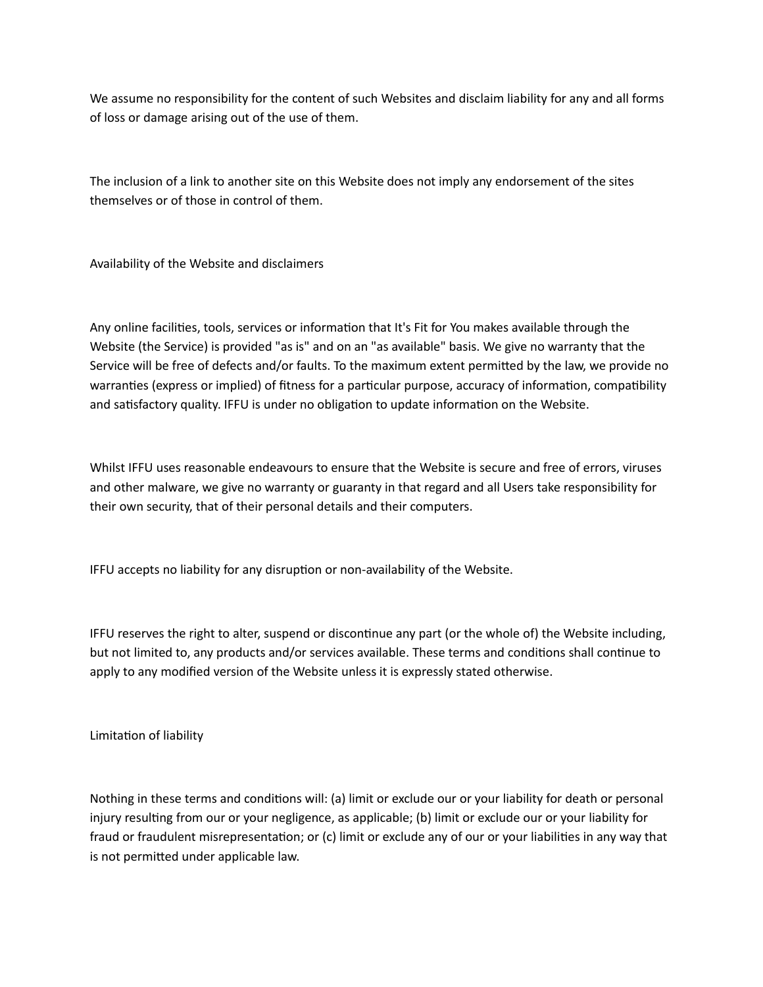We assume no responsibility for the content of such Websites and disclaim liability for any and all forms of loss or damage arising out of the use of them.

The inclusion of a link to another site on this Website does not imply any endorsement of the sites themselves or of those in control of them.

Availability of the Website and disclaimers

Any online facilities, tools, services or information that It's Fit for You makes available through the Website (the Service) is provided "as is" and on an "as available" basis. We give no warranty that the Service will be free of defects and/or faults. To the maximum extent permitted by the law, we provide no warranties (express or implied) of fitness for a particular purpose, accuracy of information, compatibility and satisfactory quality. IFFU is under no obligation to update information on the Website.

Whilst IFFU uses reasonable endeavours to ensure that the Website is secure and free of errors, viruses and other malware, we give no warranty or guaranty in that regard and all Users take responsibility for their own security, that of their personal details and their computers.

IFFU accepts no liability for any disruption or non-availability of the Website.

IFFU reserves the right to alter, suspend or discontinue any part (or the whole of) the Website including, but not limited to, any products and/or services available. These terms and conditions shall continue to apply to any modified version of the Website unless it is expressly stated otherwise.

Limitation of liability

Nothing in these terms and conditions will: (a) limit or exclude our or your liability for death or personal injury resulting from our or your negligence, as applicable; (b) limit or exclude our or your liability for fraud or fraudulent misrepresentation; or (c) limit or exclude any of our or your liabilities in any way that is not permitted under applicable law.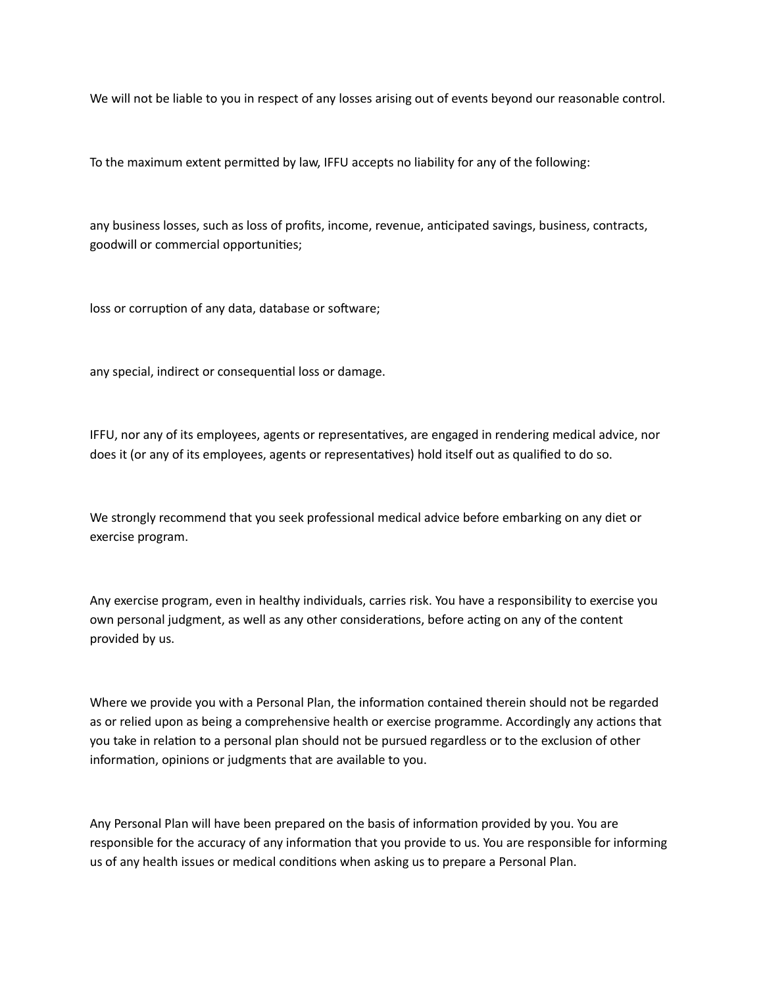We will not be liable to you in respect of any losses arising out of events beyond our reasonable control.

To the maximum extent permitted by law, IFFU accepts no liability for any of the following:

any business losses, such as loss of profits, income, revenue, anticipated savings, business, contracts, goodwill or commercial opportunities;

loss or corruption of any data, database or software;

any special, indirect or consequential loss or damage.

IFFU, nor any of its employees, agents or representatives, are engaged in rendering medical advice, nor does it (or any of its employees, agents or representatives) hold itself out as qualified to do so.

We strongly recommend that you seek professional medical advice before embarking on any diet or exercise program.

Any exercise program, even in healthy individuals, carries risk. You have a responsibility to exercise you own personal judgment, as well as any other considerations, before acting on any of the content provided by us.

Where we provide you with a Personal Plan, the information contained therein should not be regarded as or relied upon as being a comprehensive health or exercise programme. Accordingly any actions that you take in relation to a personal plan should not be pursued regardless or to the exclusion of other information, opinions or judgments that are available to you.

Any Personal Plan will have been prepared on the basis of information provided by you. You are responsible for the accuracy of any information that you provide to us. You are responsible for informing us of any health issues or medical conditions when asking us to prepare a Personal Plan.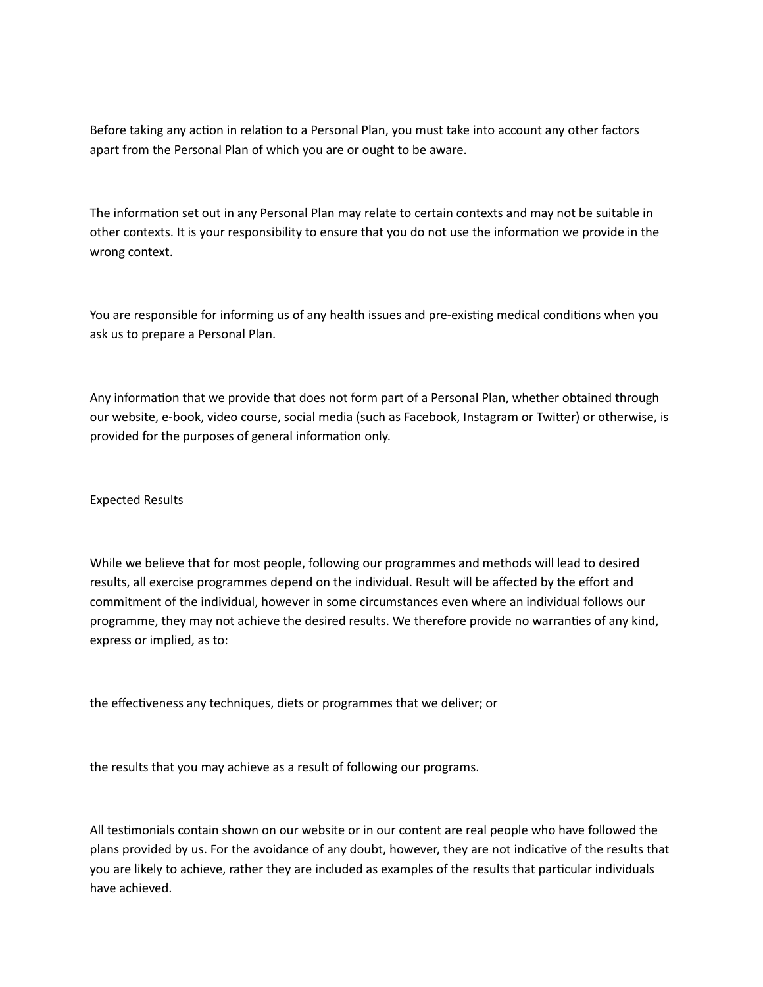Before taking any action in relation to a Personal Plan, you must take into account any other factors apart from the Personal Plan of which you are or ought to be aware.

The information set out in any Personal Plan may relate to certain contexts and may not be suitable in other contexts. It is your responsibility to ensure that you do not use the information we provide in the wrong context.

You are responsible for informing us of any health issues and pre-existing medical conditions when you ask us to prepare a Personal Plan.

Any information that we provide that does not form part of a Personal Plan, whether obtained through our website, e-book, video course, social media (such as Facebook, Instagram or Twitter) or otherwise, is provided for the purposes of general information only.

Expected Results

While we believe that for most people, following our programmes and methods will lead to desired results, all exercise programmes depend on the individual. Result will be affected by the effort and commitment of the individual, however in some circumstances even where an individual follows our programme, they may not achieve the desired results. We therefore provide no warranties of any kind, express or implied, as to:

the effectiveness any techniques, diets or programmes that we deliver; or

the results that you may achieve as a result of following our programs.

All testimonials contain shown on our website or in our content are real people who have followed the plans provided by us. For the avoidance of any doubt, however, they are not indicative of the results that you are likely to achieve, rather they are included as examples of the results that particular individuals have achieved.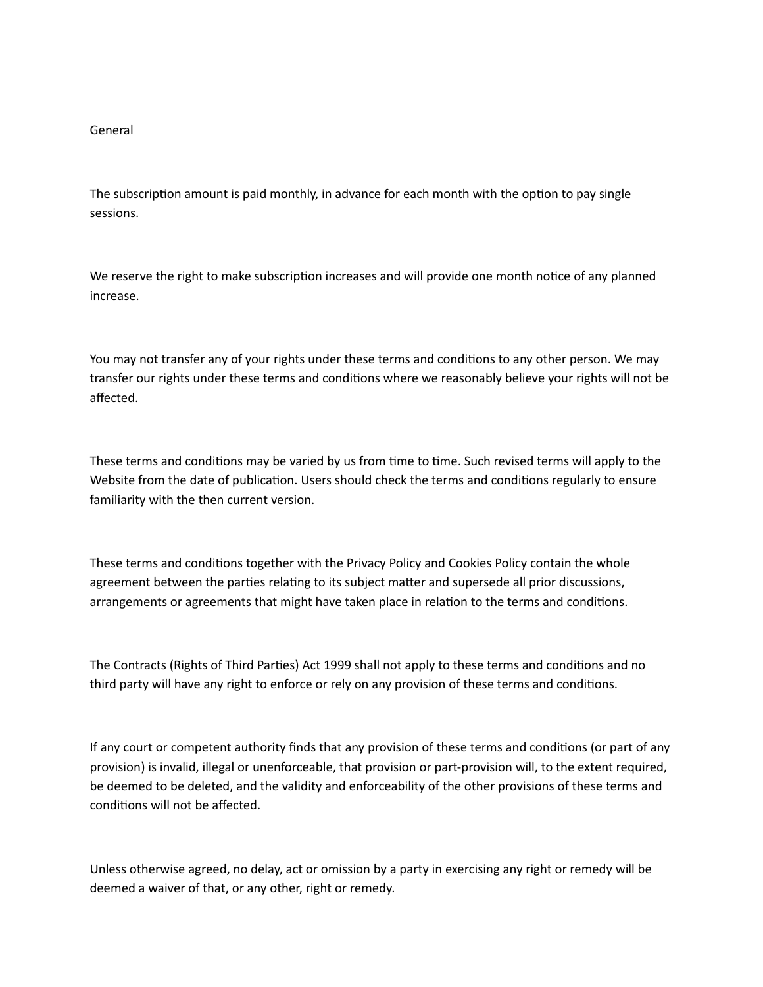## General

The subscription amount is paid monthly, in advance for each month with the option to pay single sessions.

We reserve the right to make subscription increases and will provide one month notice of any planned increase.

You may not transfer any of your rights under these terms and conditions to any other person. We may transfer our rights under these terms and conditions where we reasonably believe your rights will not be affected.

These terms and conditions may be varied by us from time to time. Such revised terms will apply to the Website from the date of publication. Users should check the terms and conditions regularly to ensure familiarity with the then current version.

These terms and conditions together with the Privacy Policy and Cookies Policy contain the whole agreement between the parties relating to its subject matter and supersede all prior discussions, arrangements or agreements that might have taken place in relation to the terms and conditions.

The Contracts (Rights of Third Parties) Act 1999 shall not apply to these terms and conditions and no third party will have any right to enforce or rely on any provision of these terms and conditions.

If any court or competent authority finds that any provision of these terms and conditions (or part of any provision) is invalid, illegal or unenforceable, that provision or part-provision will, to the extent required, be deemed to be deleted, and the validity and enforceability of the other provisions of these terms and conditions will not be affected.

Unless otherwise agreed, no delay, act or omission by a party in exercising any right or remedy will be deemed a waiver of that, or any other, right or remedy.